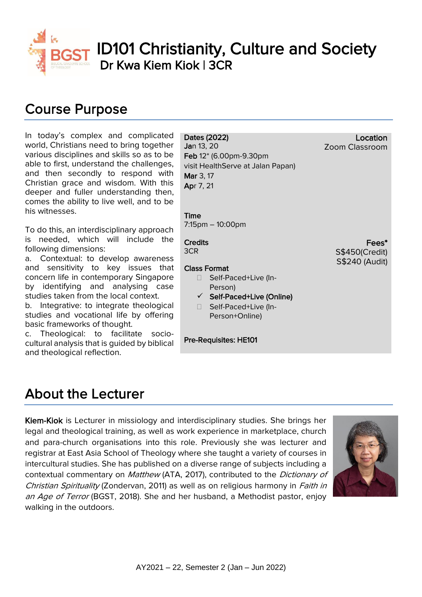

ID101 Christianity, Culture and Society Dr Kwa Kiem Kiok | 3CR

# Course Purpose

In today's complex and complicated world, Christians need to bring together various disciplines and skills so as to be able to first, understand the challenges, and then secondly to respond with Christian grace and wisdom. With this deeper and fuller understanding then, comes the ability to live well, and to be his witnesses.

To do this, an interdisciplinary approach is needed, which will include the following dimensions:

a. Contextual: to develop awareness and sensitivity to key issues that concern life in contemporary Singapore by identifying and analysing case studies taken from the local context.

b. Integrative: to integrate theological studies and vocational life by offering basic frameworks of thought.

c. Theological: to facilitate sociocultural analysis that is guided by biblical and theological reflection.

### Dates (2022)

Jan 13, 20 Feb 12\* (6.00pm-9.30pm visit HealthServe at Jalan Papan) Mar 3, 17 Apr 7, 21

Time 7:15pm – 10:00pm

## **Credits**

3CR

#### Class Format

- □ Self-Paced+Live (In-Person)
- $\checkmark$  Self-Paced+Live (Online)
- □ Self-Paced+Live (In-Person+Online)

### Pre-Requisites: HE101

## About the Lecturer

Kiem-Kiok is Lecturer in missiology and interdisciplinary studies. She brings her legal and theological training, as well as work experience in marketplace, church and para-church organisations into this role. Previously she was lecturer and registrar at East Asia School of Theology where she taught a variety of courses in intercultural studies. She has published on a diverse range of subjects including a contextual commentary on Matthew (ATA, 2017), contributed to the *Dictionary of* Christian Spirituality (Zondervan, 2011) as well as on religious harmony in *Faith in* an Age of Terror (BGST, 2018). She and her husband, a Methodist pastor, enjoy walking in the outdoors.



Location

Fees\*

S\$450(Credit) S\$240 (Audit)

Zoom Classroom